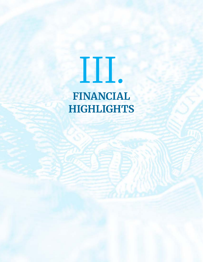## III. **FINANCIAL**

**HIGHLIGHTS**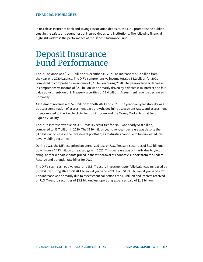In its role as insurer of bank and savings association deposits, the FDIC promotes the public's trust in the safety and soundness of insured depository institutions. The following financial highlights address the performance of the Deposit Insurance Fund.

## Deposit Insurance Fund Performance

The DIF balance was \$123.1 billion at December 31, 2021, an increase of \$5.2 billion from the year-end 2020 balance. The DIF's comprehensive income totaled \$5.2 billion for 2021 compared to comprehensive income of \$7.5 billion during 2020. The year-over-year decrease in comprehensive income of \$2.3 billion was primarily driven by a decrease in interest and fair value adjustments on U.S. Treasury securities of \$2.4 billion. Assessment revenue decreased nominally.

Assessment revenue was \$7.1 billion for both 2021 and 2020. The year-over-year stability was due to a combination of assessment base growth, declining assessment rates, and assessment offsets related to the Paycheck Protection Program and the Money Market Mutual Fund Liquidity Facility.

The DIF's interest revenue on U.S. Treasury securities for 2021 was nearly \$1.0 billion, compared to \$1.7 billion in 2020. The \$730 million year-over-year decrease was despite the \$4.1 billion increase in the investment portfolio, as maturities continue to be reinvested into lower yielding securities.

During 2021, the DIF recognized an unrealized loss on U.S. Treasury securities of \$1.2 billion, down from a \$483 million unrealized gain in 2020. This decrease was primarily due to yields rising, as market participants priced in the withdrawal of economic support from the Federal Reserve and potential rate hikes for 2022.

The DIF's cash, cash equivalents, and U.S. Treasury investment portfolio balances increased by \$6.3 billion during 2021 to \$120.1 billion at year-end 2021, from \$113.8 billion at year-end 2020. This increase was primarily due to assessment collections of \$7.3 billion and interest received on U.S. Treasury securities of \$3.9 billion, less operating expenses paid of \$1.8 billion.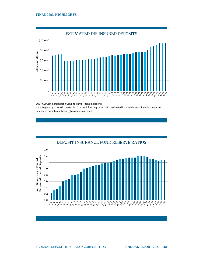## **FINANCIAL HIGHLIGHTS**



SOURCE: Commercial Bank Call and Thrift Financial Reports. Note: Beginning in fourth quarter 2010 through fourth quarter 2012, estimated insured deposits include the entire balance of noninterest-bearing transaction accounts.